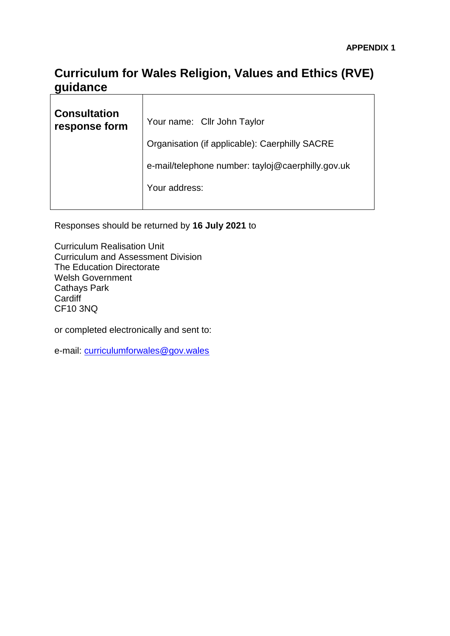## **Curriculum for Wales Religion, Values and Ethics (RVE) guidance**   $\mathbf{r}$

| <b>Consultation</b><br>response form | Your name: Cllr John Taylor                       |
|--------------------------------------|---------------------------------------------------|
|                                      | Organisation (if applicable): Caerphilly SACRE    |
|                                      | e-mail/telephone number: tayloj@caerphilly.gov.uk |
|                                      | Your address:                                     |
|                                      |                                                   |

Responses should be returned by **16 July 2021** to

Curriculum Realisation Unit Curriculum and Assessment Division The Education Directorate Welsh Government Cathays Park **Cardiff** CF10 3NQ

or completed electronically and sent to:

e-mail: [curriculumforwales@gov.wales](mailto:curriculumforwales@gov.wales)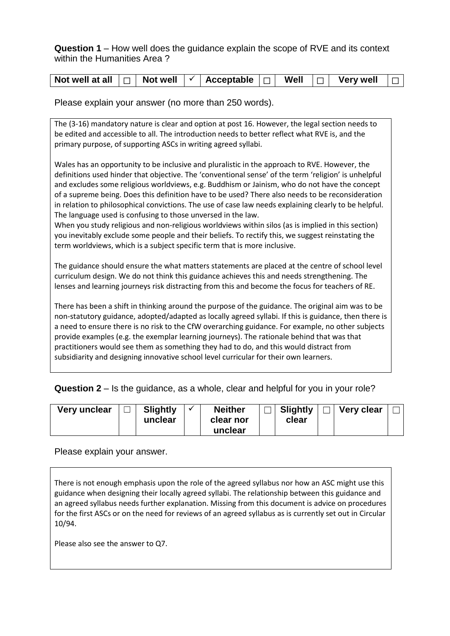**Question 1** – How well does the guidance explain the scope of RVE and its context within the Humanities Area ?

| Not well at all |  | Not well |  | Acceptable |  | Well |  | <b>Very well</b> |  |
|-----------------|--|----------|--|------------|--|------|--|------------------|--|
|-----------------|--|----------|--|------------|--|------|--|------------------|--|

Please explain your answer (no more than 250 words).

The (3-16) mandatory nature is clear and option at post 16. However, the legal section needs to be edited and accessible to all. The introduction needs to better reflect what RVE is, and the primary purpose, of supporting ASCs in writing agreed syllabi.

Wales has an opportunity to be inclusive and pluralistic in the approach to RVE. However, the definitions used hinder that objective. The 'conventional sense' of the term 'religion' is unhelpful and excludes some religious worldviews, e.g. Buddhism or Jainism, who do not have the concept of a supreme being. Does this definition have to be used? There also needs to be reconsideration in relation to philosophical convictions. The use of case law needs explaining clearly to be helpful. The language used is confusing to those unversed in the law.

When you study religious and non-religious worldviews within silos (as is implied in this section) you inevitably exclude some people and their beliefs. To rectify this, we suggest reinstating the term worldviews, which is a subject specific term that is more inclusive.

The guidance should ensure the what matters statements are placed at the centre of school level curriculum design. We do not think this guidance achieves this and needs strengthening. The lenses and learning journeys risk distracting from this and become the focus for teachers of RE.

There has been a shift in thinking around the purpose of the guidance. The original aim was to be non-statutory guidance, adopted/adapted as locally agreed syllabi. If this is guidance, then there is a need to ensure there is no risk to the CfW overarching guidance. For example, no other subjects provide examples (e.g. the exemplar learning journeys). The rationale behind that was that practitioners would see them as something they had to do, and this would distract from subsidiarity and designing innovative school level curricular for their own learners.

**Question 2** – Is the guidance, as a whole, clear and helpful for you in your role?

| Very unclear | <b>Slightly</b><br>unclear |  | <b>Neither</b><br>clear nor<br>unclear |  | <b>Slightly</b><br>clear |  | <b>Very clear</b> |  |
|--------------|----------------------------|--|----------------------------------------|--|--------------------------|--|-------------------|--|
|--------------|----------------------------|--|----------------------------------------|--|--------------------------|--|-------------------|--|

Please explain your answer.

There is not enough emphasis upon the role of the agreed syllabus nor how an ASC might use this guidance when designing their locally agreed syllabi. The relationship between this guidance and an agreed syllabus needs further explanation. Missing from this document is advice on procedures for the first ASCs or on the need for reviews of an agreed syllabus as is currently set out in Circular 10/94.

Please also see the answer to Q7.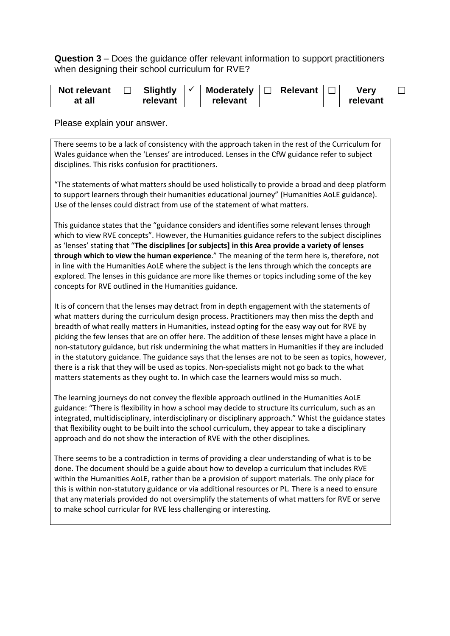**Question 3** – Does the guidance offer relevant information to support practitioners when designing their school curriculum for RVE?

| Not relevant | Slightly | <b>Moderately</b> | <b>Relevant</b> | Verv     |  |
|--------------|----------|-------------------|-----------------|----------|--|
| at all       | relevant | relevant          |                 | relevant |  |

Please explain your answer.

There seems to be a lack of consistency with the approach taken in the rest of the Curriculum for Wales guidance when the 'Lenses' are introduced. Lenses in the CfW guidance refer to subject disciplines. This risks confusion for practitioners.

"The statements of what matters should be used holistically to provide a broad and deep platform to support learners through their humanities educational journey" (Humanities AoLE guidance). Use of the lenses could distract from use of the statement of what matters.

This guidance states that the "guidance considers and identifies some relevant lenses through which to view RVE concepts". However, the Humanities guidance refers to the subject disciplines as 'lenses' stating that "**The disciplines [or subjects] in this Area provide a variety of lenses through which to view the human experience**." The meaning of the term here is, therefore, not in line with the Humanities AoLE where the subject is the lens through which the concepts are explored. The lenses in this guidance are more like themes or topics including some of the key concepts for RVE outlined in the Humanities guidance.

It is of concern that the lenses may detract from in depth engagement with the statements of what matters during the curriculum design process. Practitioners may then miss the depth and breadth of what really matters in Humanities, instead opting for the easy way out for RVE by picking the few lenses that are on offer here. The addition of these lenses might have a place in non-statutory guidance, but risk undermining the what matters in Humanities if they are included in the statutory guidance. The guidance says that the lenses are not to be seen as topics, however, there is a risk that they will be used as topics. Non-specialists might not go back to the what matters statements as they ought to. In which case the learners would miss so much.

The learning journeys do not convey the flexible approach outlined in the Humanities AoLE guidance: "There is flexibility in how a school may decide to structure its curriculum, such as an integrated, multidisciplinary, interdisciplinary or disciplinary approach." Whist the guidance states that flexibility ought to be built into the school curriculum, they appear to take a disciplinary approach and do not show the interaction of RVE with the other disciplines.

There seems to be a contradiction in terms of providing a clear understanding of what is to be done. The document should be a guide about how to develop a curriculum that includes RVE within the Humanities AoLE, rather than be a provision of support materials. The only place for this is within non-statutory guidance or via additional resources or PL. There is a need to ensure that any materials provided do not oversimplify the statements of what matters for RVE or serve to make school curricular for RVE less challenging or interesting.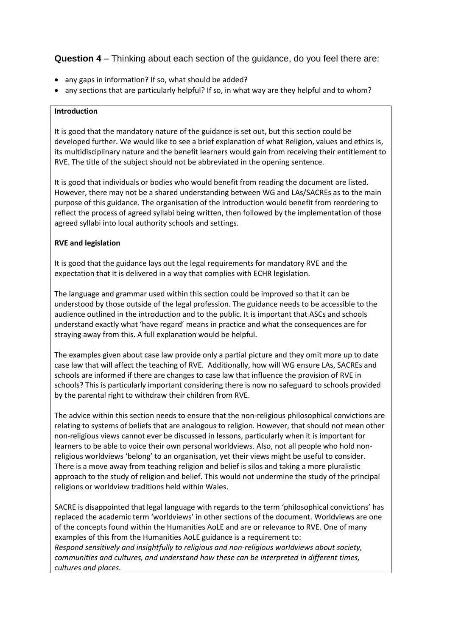# **Question 4** – Thinking about each section of the guidance, do you feel there are:

- any gaps in information? If so, what should be added?
- any sections that are particularly helpful? If so, in what way are they helpful and to whom?

#### **Introduction**

It is good that the mandatory nature of the guidance is set out, but this section could be developed further. We would like to see a brief explanation of what Religion, values and ethics is, its multidisciplinary nature and the benefit learners would gain from receiving their entitlement to RVE. The title of the subject should not be abbreviated in the opening sentence.

It is good that individuals or bodies who would benefit from reading the document are listed. However, there may not be a shared understanding between WG and LAs/SACREs as to the main purpose of this guidance. The organisation of the introduction would benefit from reordering to reflect the process of agreed syllabi being written, then followed by the implementation of those agreed syllabi into local authority schools and settings.

### **RVE and legislation**

It is good that the guidance lays out the legal requirements for mandatory RVE and the expectation that it is delivered in a way that complies with ECHR legislation.

The language and grammar used within this section could be improved so that it can be understood by those outside of the legal profession. The guidance needs to be accessible to the audience outlined in the introduction and to the public. It is important that ASCs and schools understand exactly what 'have regard' means in practice and what the consequences are for straying away from this. A full explanation would be helpful.

The examples given about case law provide only a partial picture and they omit more up to date case law that will affect the teaching of RVE. Additionally, how will WG ensure LAs, SACREs and schools are informed if there are changes to case law that influence the provision of RVE in schools? This is particularly important considering there is now no safeguard to schools provided by the parental right to withdraw their children from RVE.

The advice within this section needs to ensure that the non-religious philosophical convictions are relating to systems of beliefs that are analogous to religion. However, that should not mean other non-religious views cannot ever be discussed in lessons, particularly when it is important for learners to be able to voice their own personal worldviews. Also, not all people who hold nonreligious worldviews 'belong' to an organisation, yet their views might be useful to consider. There is a move away from teaching religion and belief is silos and taking a more pluralistic approach to the study of religion and belief. This would not undermine the study of the principal religions or worldview traditions held within Wales.

SACRE is disappointed that legal language with regards to the term 'philosophical convictions' has replaced the academic term 'worldviews' in other sections of the document. Worldviews are one of the concepts found within the Humanities AoLE and are or relevance to RVE. One of many examples of this from the Humanities AoLE guidance is a requirement to:

*Respond sensitively and insightfully to religious and non-religious worldviews about society, communities and cultures, and understand how these can be interpreted in different times, cultures and places.*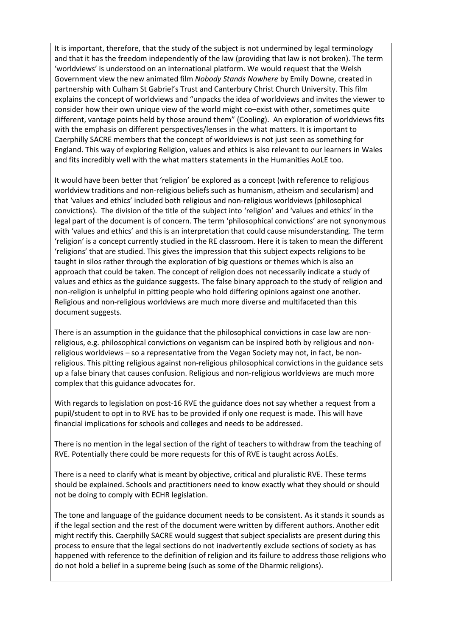It is important, therefore, that the study of the subject is not undermined by legal terminology and that it has the freedom independently of the law (providing that law is not broken). The term 'worldviews' is understood on an international platform. We would request that the Welsh Government view the new animated film *Nobody Stands Nowhere* by Emily Downe, created in partnership with Culham St Gabriel's Trust and Canterbury Christ Church University. This film explains the concept of worldviews and "unpacks the idea of worldviews and invites the viewer to consider how their own unique view of the world might co–exist with other, sometimes quite different, vantage points held by those around them" (Cooling). An exploration of worldviews fits with the emphasis on different perspectives/lenses in the what matters. It is important to Caerphilly SACRE members that the concept of worldviews is not just seen as something for England. This way of exploring Religion, values and ethics is also relevant to our learners in Wales and fits incredibly well with the what matters statements in the Humanities AoLE too.

It would have been better that 'religion' be explored as a concept (with reference to religious worldview traditions and non-religious beliefs such as humanism, atheism and secularism) and that 'values and ethics' included both religious and non-religious worldviews (philosophical convictions). The division of the title of the subject into 'religion' and 'values and ethics' in the legal part of the document is of concern. The term 'philosophical convictions' are not synonymous with 'values and ethics' and this is an interpretation that could cause misunderstanding. The term 'religion' is a concept currently studied in the RE classroom. Here it is taken to mean the different 'religions' that are studied. This gives the impression that this subject expects religions to be taught in silos rather through the exploration of big questions or themes which is also an approach that could be taken. The concept of religion does not necessarily indicate a study of values and ethics as the guidance suggests. The false binary approach to the study of religion and non-religion is unhelpful in pitting people who hold differing opinions against one another. Religious and non-religious worldviews are much more diverse and multifaceted than this document suggests.

There is an assumption in the guidance that the philosophical convictions in case law are nonreligious, e.g. philosophical convictions on veganism can be inspired both by religious and nonreligious worldviews – so a representative from the Vegan Society may not, in fact, be nonreligious. This pitting religious against non-religious philosophical convictions in the guidance sets up a false binary that causes confusion. Religious and non-religious worldviews are much more complex that this guidance advocates for.

With regards to legislation on post-16 RVE the guidance does not say whether a request from a pupil/student to opt in to RVE has to be provided if only one request is made. This will have financial implications for schools and colleges and needs to be addressed.

There is no mention in the legal section of the right of teachers to withdraw from the teaching of RVE. Potentially there could be more requests for this of RVE is taught across AoLEs.

There is a need to clarify what is meant by objective, critical and pluralistic RVE. These terms should be explained. Schools and practitioners need to know exactly what they should or should not be doing to comply with ECHR legislation.

The tone and language of the guidance document needs to be consistent. As it stands it sounds as if the legal section and the rest of the document were written by different authors. Another edit might rectify this. Caerphilly SACRE would suggest that subject specialists are present during this process to ensure that the legal sections do not inadvertently exclude sections of society as has happened with reference to the definition of religion and its failure to address those religions who do not hold a belief in a supreme being (such as some of the Dharmic religions).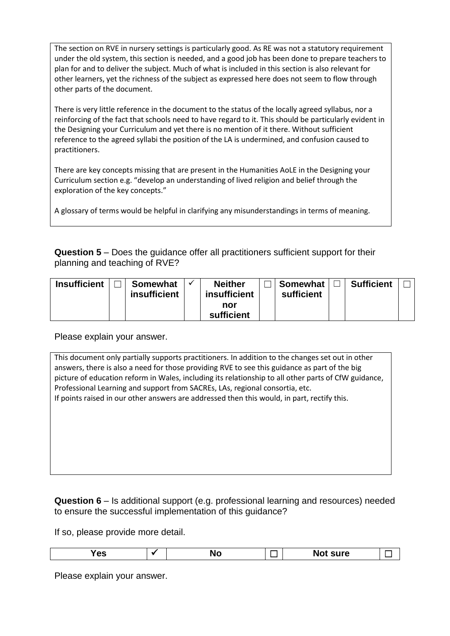The section on RVE in nursery settings is particularly good. As RE was not a statutory requirement under the old system, this section is needed, and a good job has been done to prepare teachers to plan for and to deliver the subject. Much of what is included in this section is also relevant for other learners, yet the richness of the subject as expressed here does not seem to flow through other parts of the document.

There is very little reference in the document to the status of the locally agreed syllabus, nor a reinforcing of the fact that schools need to have regard to it. This should be particularly evident in the Designing your Curriculum and yet there is no mention of it there. Without sufficient reference to the agreed syllabi the position of the LA is undermined, and confusion caused to practitioners.

There are key concepts missing that are present in the Humanities AoLE in the Designing your Curriculum section e.g. "develop an understanding of lived religion and belief through the exploration of the key concepts."

A glossary of terms would be helpful in clarifying any misunderstandings in terms of meaning.

**Question 5** – Does the guidance offer all practitioners sufficient support for their planning and teaching of RVE?

| <b>Insufficient</b> | <b>Somewhat</b>     | <b>Neither</b> | <b>Somewhat</b> | <b>Sufficient</b> |  |
|---------------------|---------------------|----------------|-----------------|-------------------|--|
|                     | <b>insufficient</b> | insufficient   | sufficient      |                   |  |
|                     |                     | nor            |                 |                   |  |
|                     |                     | sufficient     |                 |                   |  |

Please explain your answer.

This document only partially supports practitioners. In addition to the changes set out in other answers, there is also a need for those providing RVE to see this guidance as part of the big picture of education reform in Wales, including its relationship to all other parts of CfW guidance, Professional Learning and support from SACREs, LAs, regional consortia, etc. If points raised in our other answers are addressed then this would, in part, rectify this.

### **Question 6** – Is additional support (e.g. professional learning and resources) needed to ensure the successful implementation of this guidance?

If so, please provide more detail.

| sure<br>- Nu<br>es<br> |
|------------------------|
|------------------------|

Please explain your answer.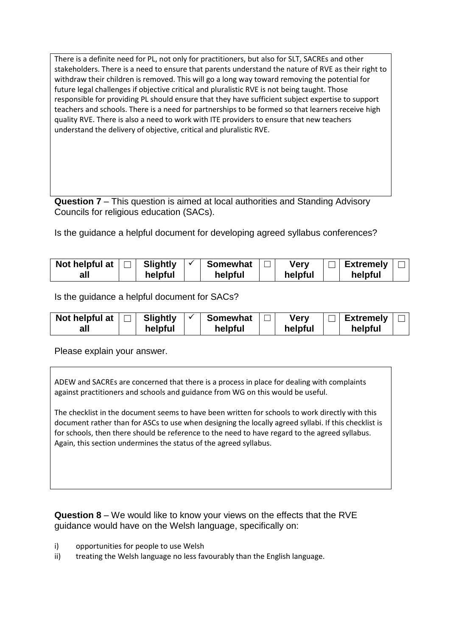There is a definite need for PL, not only for practitioners, but also for SLT, SACREs and other stakeholders. There is a need to ensure that parents understand the nature of RVE as their right to withdraw their children is removed. This will go a long way toward removing the potential for future legal challenges if objective critical and pluralistic RVE is not being taught. Those responsible for providing PL should ensure that they have sufficient subject expertise to support teachers and schools. There is a need for partnerships to be formed so that learners receive high quality RVE. There is also a need to work with ITE providers to ensure that new teachers understand the delivery of objective, critical and pluralistic RVE.

**Question 7** – This question is aimed at local authorities and Standing Advisory Councils for religious education (SACs).

Is the guidance a helpful document for developing agreed syllabus conferences?

| Not helpful at | <b>Slightly</b> | <b>Somewhat</b> | Verv    | <b>Extremely</b> |  |
|----------------|-----------------|-----------------|---------|------------------|--|
| al             | helpful         | helpful         | helpful | helpful          |  |

Is the guidance a helpful document for SACs?

| Not helpful at | Slightly | <b>Somewhat</b> | Verv    | Extremely |  |
|----------------|----------|-----------------|---------|-----------|--|
| all            | helpful  | helpful         | helpful | helpful   |  |

Please explain your answer.

ADEW and SACREs are concerned that there is a process in place for dealing with complaints against practitioners and schools and guidance from WG on this would be useful.

The checklist in the document seems to have been written for schools to work directly with this document rather than for ASCs to use when designing the locally agreed syllabi. If this checklist is for schools, then there should be reference to the need to have regard to the agreed syllabus. Again, this section undermines the status of the agreed syllabus.

**Question 8** – We would like to know your views on the effects that the RVE guidance would have on the Welsh language, specifically on:

- i) opportunities for people to use Welsh
- ii) treating the Welsh language no less favourably than the English language.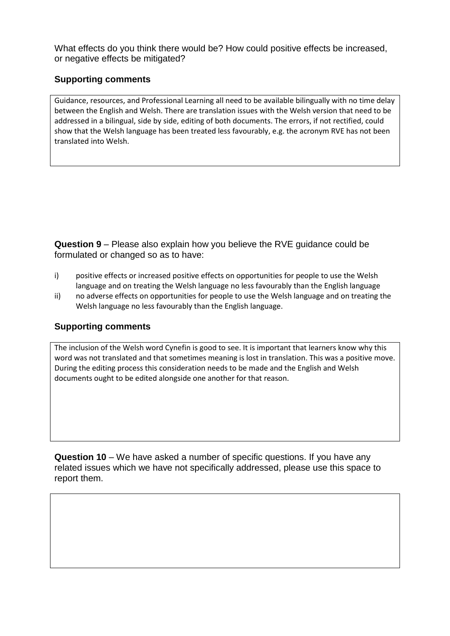What effects do you think there would be? How could positive effects be increased, or negative effects be mitigated?

## **Supporting comments**

Guidance, resources, and Professional Learning all need to be available bilingually with no time delay between the English and Welsh. There are translation issues with the Welsh version that need to be addressed in a bilingual, side by side, editing of both documents. The errors, if not rectified, could show that the Welsh language has been treated less favourably, e.g. the acronym RVE has not been translated into Welsh.

**Question 9** – Please also explain how you believe the RVE guidance could be formulated or changed so as to have:

- i) positive effects or increased positive effects on opportunities for people to use the Welsh language and on treating the Welsh language no less favourably than the English language
- ii) no adverse effects on opportunities for people to use the Welsh language and on treating the Welsh language no less favourably than the English language.

### **Supporting comments**

The inclusion of the Welsh word Cynefin is good to see. It is important that learners know why this word was not translated and that sometimes meaning is lost in translation. This was a positive move. During the editing process this consideration needs to be made and the English and Welsh documents ought to be edited alongside one another for that reason.

**Question 10** – We have asked a number of specific questions. If you have any related issues which we have not specifically addressed, please use this space to report them.